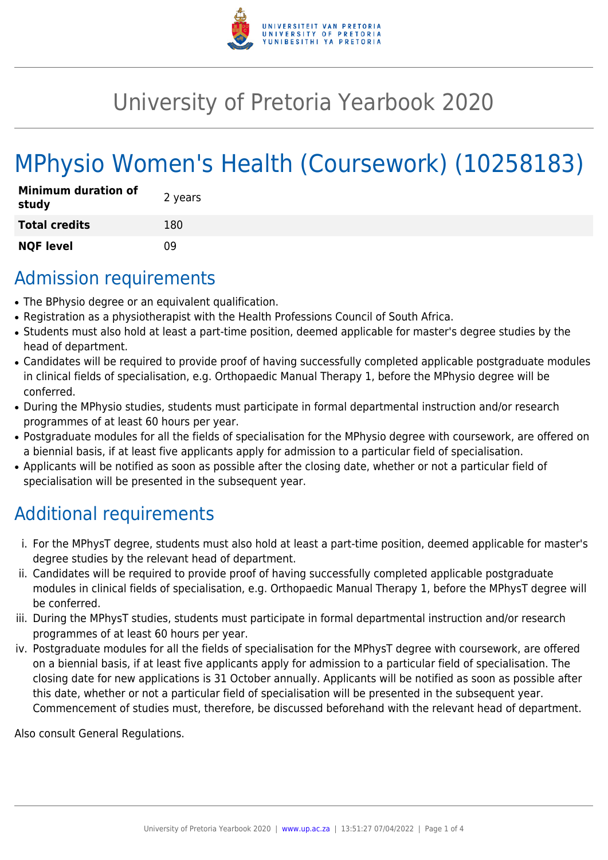

## University of Pretoria Yearbook 2020

# MPhysio Women's Health (Coursework) (10258183)

| <b>Minimum duration of</b><br>study | 2 years |
|-------------------------------------|---------|
| <b>Total credits</b>                | 180     |
| <b>NQF level</b>                    | n۹      |

### Admission requirements

- The BPhysio degree or an equivalent qualification.
- Registration as a physiotherapist with the Health Professions Council of South Africa.
- Students must also hold at least a part-time position, deemed applicable for master's degree studies by the head of department.
- Candidates will be required to provide proof of having successfully completed applicable postgraduate modules in clinical fields of specialisation, e.g. Orthopaedic Manual Therapy 1, before the MPhysio degree will be conferred.
- During the MPhysio studies, students must participate in formal departmental instruction and/or research programmes of at least 60 hours per year.
- Postgraduate modules for all the fields of specialisation for the MPhysio degree with coursework, are offered on a biennial basis, if at least five applicants apply for admission to a particular field of specialisation.
- Applicants will be notified as soon as possible after the closing date, whether or not a particular field of specialisation will be presented in the subsequent year.

### Additional requirements

- i. For the MPhysT degree, students must also hold at least a part-time position, deemed applicable for master's degree studies by the relevant head of department.
- ii. Candidates will be required to provide proof of having successfully completed applicable postgraduate modules in clinical fields of specialisation, e.g. Orthopaedic Manual Therapy 1, before the MPhysT degree will be conferred.
- iii. During the MPhysT studies, students must participate in formal departmental instruction and/or research programmes of at least 60 hours per year.
- iv. Postgraduate modules for all the fields of specialisation for the MPhysT degree with coursework, are offered on a biennial basis, if at least five applicants apply for admission to a particular field of specialisation. The closing date for new applications is 31 October annually. Applicants will be notified as soon as possible after this date, whether or not a particular field of specialisation will be presented in the subsequent year. Commencement of studies must, therefore, be discussed beforehand with the relevant head of department.

Also consult General Regulations.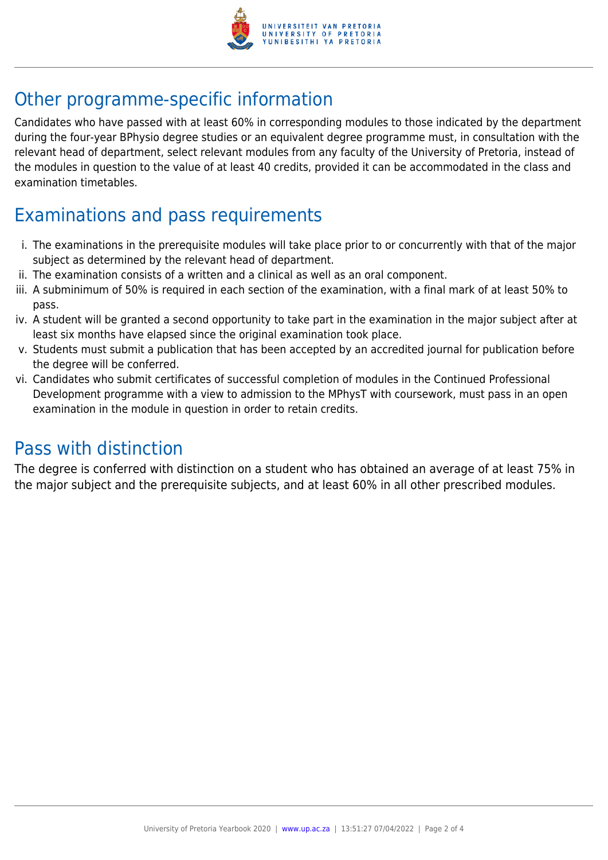

### Other programme-specific information

Candidates who have passed with at least 60% in corresponding modules to those indicated by the department during the four-year BPhysio degree studies or an equivalent degree programme must, in consultation with the relevant head of department, select relevant modules from any faculty of the University of Pretoria, instead of the modules in question to the value of at least 40 credits, provided it can be accommodated in the class and examination timetables.

### Examinations and pass requirements

- i. The examinations in the prerequisite modules will take place prior to or concurrently with that of the major subject as determined by the relevant head of department.
- ii. The examination consists of a written and a clinical as well as an oral component.
- iii. A subminimum of 50% is required in each section of the examination, with a final mark of at least 50% to pass.
- iv. A student will be granted a second opportunity to take part in the examination in the major subject after at least six months have elapsed since the original examination took place.
- v. Students must submit a publication that has been accepted by an accredited journal for publication before the degree will be conferred.
- vi. Candidates who submit certificates of successful completion of modules in the Continued Professional Development programme with a view to admission to the MPhysT with coursework, must pass in an open examination in the module in question in order to retain credits.

#### Pass with distinction

The degree is conferred with distinction on a student who has obtained an average of at least 75% in the major subject and the prerequisite subjects, and at least 60% in all other prescribed modules.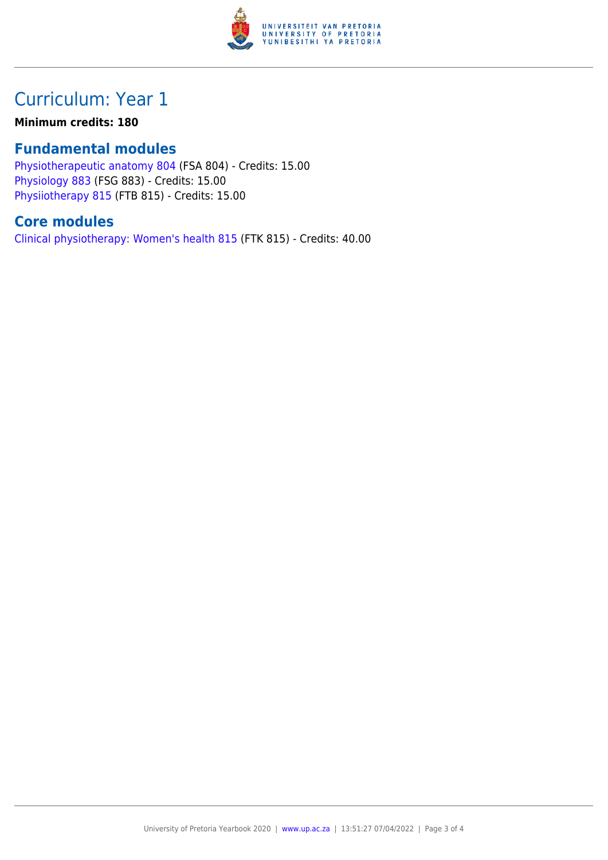

### Curriculum: Year 1

#### **Minimum credits: 180**

#### **Fundamental modules**

[Physiotherapeutic anatomy 804](https://www.up.ac.za/yearbooks/2020/modules/view/FSA 804) (FSA 804) - Credits: 15.00 [Physiology 883](https://www.up.ac.za/yearbooks/2020/modules/view/FSG 883) (FSG 883) - Credits: 15.00 [Physiiotherapy 815](https://www.up.ac.za/yearbooks/2020/modules/view/FTB 815) (FTB 815) - Credits: 15.00

#### **Core modules**

[Clinical physiotherapy: Women's health 815](https://www.up.ac.za/yearbooks/2020/modules/view/FTK 815) (FTK 815) - Credits: 40.00